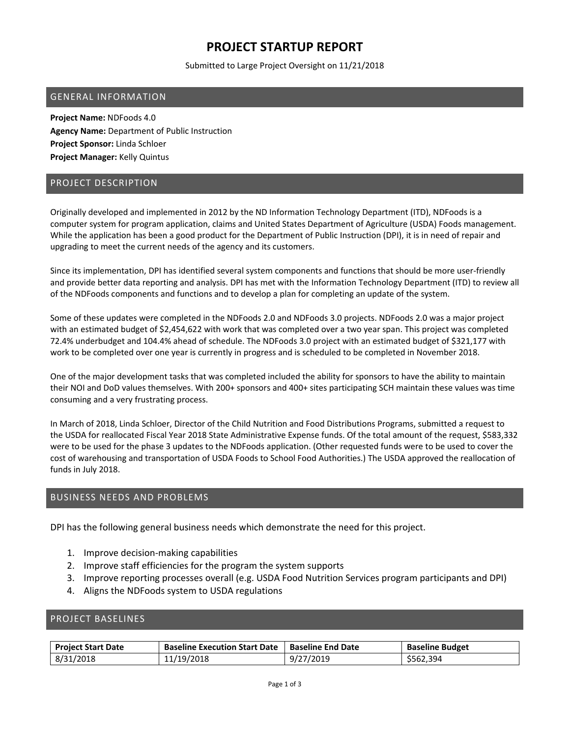# **PROJECT STARTUP REPORT**

Submitted to Large Project Oversight on 11/21/2018

### GENERAL INFORMATION

**Project Name:** NDFoods 4.0 **Agency Name:** Department of Public Instruction **Project Sponsor:** Linda Schloer **Project Manager:** Kelly Quintus

### PROJECT DESCRIPTION

Originally developed and implemented in 2012 by the ND Information Technology Department (ITD), NDFoods is a computer system for program application, claims and United States Department of Agriculture (USDA) Foods management. While the application has been a good product for the Department of Public Instruction (DPI), it is in need of repair and upgrading to meet the current needs of the agency and its customers.

Since its implementation, DPI has identified several system components and functions that should be more user‐friendly and provide better data reporting and analysis. DPI has met with the Information Technology Department (ITD) to review all of the NDFoods components and functions and to develop a plan for completing an update of the system.

Some of these updates were completed in the NDFoods 2.0 and NDFoods 3.0 projects. NDFoods 2.0 was a major project with an estimated budget of \$2,454,622 with work that was completed over a two year span. This project was completed 72.4% underbudget and 104.4% ahead of schedule. The NDFoods 3.0 project with an estimated budget of \$321,177 with work to be completed over one year is currently in progress and is scheduled to be completed in November 2018.

One of the major development tasks that was completed included the ability for sponsors to have the ability to maintain their NOI and DoD values themselves. With 200+ sponsors and 400+ sites participating SCH maintain these values was time consuming and a very frustrating process.

In March of 2018, Linda Schloer, Director of the Child Nutrition and Food Distributions Programs, submitted a request to the USDA for reallocated Fiscal Year 2018 State Administrative Expense funds. Of the total amount of the request, \$583,332 were to be used for the phase 3 updates to the NDFoods application. (Other requested funds were to be used to cover the cost of warehousing and transportation of USDA Foods to School Food Authorities.) The USDA approved the reallocation of funds in July 2018.

### BUSINESS NEEDS AND PROBLEMS

DPI has the following general business needs which demonstrate the need for this project.

- 1. Improve decision‐making capabilities
- 2. Improve staff efficiencies for the program the system supports
- 3. Improve reporting processes overall (e.g. USDA Food Nutrition Services program participants and DPI)
- 4. Aligns the NDFoods system to USDA regulations

### PROJECT BASELINES

| <b>Project Start Date</b> | <b>Baseline Execution Start Date</b> | l Baseline End Date | <b>Baseline Budget</b> |
|---------------------------|--------------------------------------|---------------------|------------------------|
| 8/31/2018                 | 11/19/2018                           | 9/27/2019           | \$562,394              |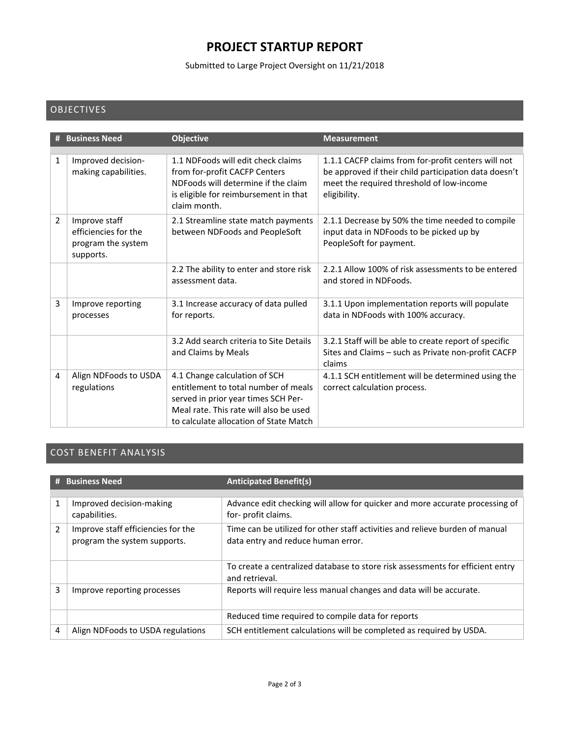# **PROJECT STARTUP REPORT**

Submitted to Large Project Oversight on 11/21/2018

## OBJECTIVES

|                | <b>Business Need</b>                                                     | <b>Objective</b>                                                                                                                                                                                 | <b>Measurement</b>                                                                                                                                                        |
|----------------|--------------------------------------------------------------------------|--------------------------------------------------------------------------------------------------------------------------------------------------------------------------------------------------|---------------------------------------------------------------------------------------------------------------------------------------------------------------------------|
| 1              | Improved decision-<br>making capabilities.                               | 1.1 NDFoods will edit check claims<br>from for-profit CACFP Centers<br>NDFoods will determine if the claim<br>is eligible for reimbursement in that<br>claim month.                              | 1.1.1 CACFP claims from for-profit centers will not<br>be approved if their child participation data doesn't<br>meet the required threshold of low-income<br>eligibility. |
| $\overline{2}$ | Improve staff<br>efficiencies for the<br>program the system<br>supports. | 2.1 Streamline state match payments<br>between NDFoods and PeopleSoft                                                                                                                            | 2.1.1 Decrease by 50% the time needed to compile<br>input data in NDFoods to be picked up by<br>PeopleSoft for payment.                                                   |
|                |                                                                          | 2.2 The ability to enter and store risk<br>assessment data.                                                                                                                                      | 2.2.1 Allow 100% of risk assessments to be entered<br>and stored in NDFoods.                                                                                              |
| 3              | Improve reporting<br>processes                                           | 3.1 Increase accuracy of data pulled<br>for reports.                                                                                                                                             | 3.1.1 Upon implementation reports will populate<br>data in NDFoods with 100% accuracy.                                                                                    |
|                |                                                                          | 3.2 Add search criteria to Site Details<br>and Claims by Meals                                                                                                                                   | 3.2.1 Staff will be able to create report of specific<br>Sites and Claims - such as Private non-profit CACFP<br>claims                                                    |
| 4              | Align NDFoods to USDA<br>regulations                                     | 4.1 Change calculation of SCH<br>entitlement to total number of meals<br>served in prior year times SCH Per-<br>Meal rate. This rate will also be used<br>to calculate allocation of State Match | 4.1.1 SCH entitlement will be determined using the<br>correct calculation process.                                                                                        |

## COST BENEFIT ANALYSIS

|                | # Business Need                                                    | <b>Anticipated Benefit(s)</b>                                                                                      |
|----------------|--------------------------------------------------------------------|--------------------------------------------------------------------------------------------------------------------|
|                |                                                                    |                                                                                                                    |
| 1              | Improved decision-making<br>capabilities.                          | Advance edit checking will allow for quicker and more accurate processing of<br>for- profit claims.                |
| $\overline{2}$ | Improve staff efficiencies for the<br>program the system supports. | Time can be utilized for other staff activities and relieve burden of manual<br>data entry and reduce human error. |
|                |                                                                    | To create a centralized database to store risk assessments for efficient entry<br>and retrieval.                   |
| 3              | Improve reporting processes                                        | Reports will require less manual changes and data will be accurate.                                                |
|                |                                                                    | Reduced time required to compile data for reports                                                                  |
| 4              | Align NDFoods to USDA regulations                                  | SCH entitlement calculations will be completed as required by USDA.                                                |